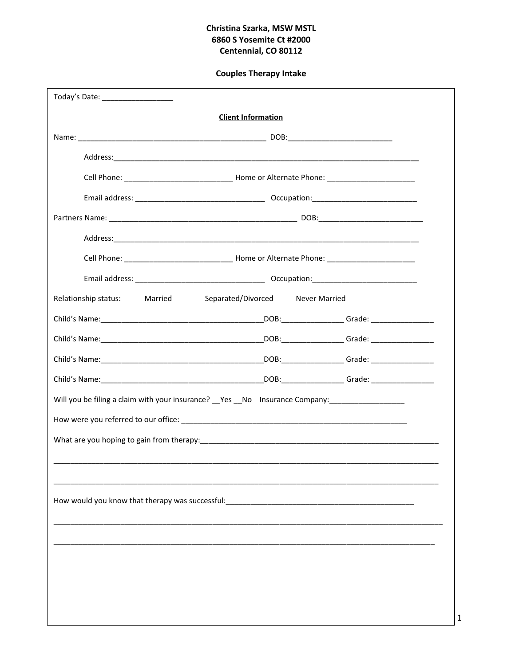# Christina Szarka, MSW MSTL 6860 S Yosemite Ct #2000 Centennial, CO 80112

# **Couples Therapy Intake**

| Today's Date: ___________________                                                                              |                           |  |
|----------------------------------------------------------------------------------------------------------------|---------------------------|--|
|                                                                                                                | <b>Client Information</b> |  |
|                                                                                                                |                           |  |
|                                                                                                                |                           |  |
|                                                                                                                |                           |  |
|                                                                                                                |                           |  |
|                                                                                                                |                           |  |
|                                                                                                                |                           |  |
|                                                                                                                |                           |  |
|                                                                                                                |                           |  |
| Relationship status: Married Separated/Divorced Never Married                                                  |                           |  |
|                                                                                                                |                           |  |
|                                                                                                                |                           |  |
|                                                                                                                |                           |  |
|                                                                                                                |                           |  |
| Will you be filing a claim with your insurance? __Yes __No lnsurance Company: _____________________            |                           |  |
|                                                                                                                |                           |  |
|                                                                                                                |                           |  |
|                                                                                                                |                           |  |
|                                                                                                                |                           |  |
| How would you know that therapy was successful: The manufactured and the manufactured and the manufactured and |                           |  |
|                                                                                                                |                           |  |
|                                                                                                                |                           |  |
|                                                                                                                |                           |  |
|                                                                                                                |                           |  |
|                                                                                                                |                           |  |
|                                                                                                                |                           |  |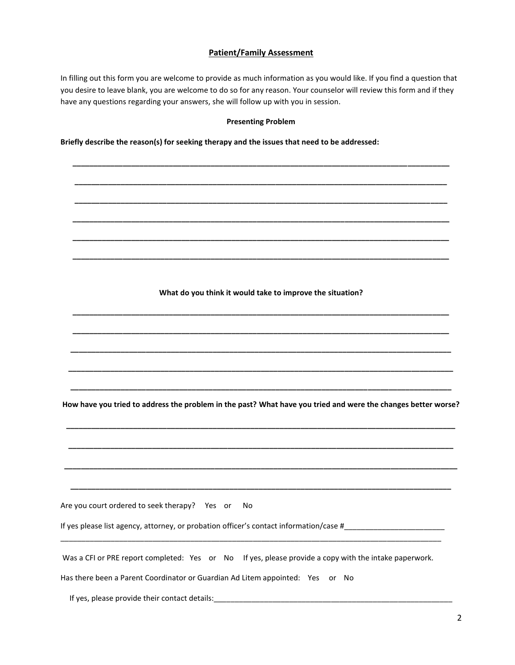# **Patient/Family Assessment**

In filling out this form you are welcome to provide as much information as you would like. If you find a question that you desire to leave blank, you are welcome to do so for any reason. Your counselor will review this form and if they have any questions regarding your answers, she will follow up with you in session.

#### **Presenting Problem**

**\_\_\_\_\_\_\_\_\_\_\_\_\_\_\_\_\_\_\_\_\_\_\_\_\_\_\_\_\_\_\_\_\_\_\_\_\_\_\_\_\_\_\_\_\_\_\_\_\_\_\_\_\_\_\_\_\_\_\_\_\_\_\_\_\_\_\_\_\_\_\_\_\_\_\_\_\_\_\_\_\_\_\_\_\_\_\_\_\_\_**

**\_\_\_\_\_\_\_\_\_\_\_\_\_\_\_\_\_\_\_\_\_\_\_\_\_\_\_\_\_\_\_\_\_\_\_\_\_\_\_\_\_\_\_\_\_\_\_\_\_\_\_\_\_\_\_\_\_\_\_\_\_\_\_\_\_\_\_\_\_\_\_\_\_\_\_\_\_\_\_\_\_\_\_\_\_\_\_\_\_**

**\_\_\_\_\_\_\_\_\_\_\_\_\_\_\_\_\_\_\_\_\_\_\_\_\_\_\_\_\_\_\_\_\_\_\_\_\_\_\_\_\_\_\_\_\_\_\_\_\_\_\_\_\_\_\_\_\_\_\_\_\_\_\_\_\_\_\_\_\_\_\_\_\_\_\_\_\_\_\_\_\_\_\_\_\_\_\_\_\_**

**\_\_\_\_\_\_\_\_\_\_\_\_\_\_\_\_\_\_\_\_\_\_\_\_\_\_\_\_\_\_\_\_\_\_\_\_\_\_\_\_\_\_\_\_\_\_\_\_\_\_\_\_\_\_\_\_\_\_\_\_\_\_\_\_\_\_\_\_\_\_\_\_\_\_\_\_\_\_\_\_\_\_\_\_\_\_\_\_\_\_**

**\_\_\_\_\_\_\_\_\_\_\_\_\_\_\_\_\_\_\_\_\_\_\_\_\_\_\_\_\_\_\_\_\_\_\_\_\_\_\_\_\_\_\_\_\_\_\_\_\_\_\_\_\_\_\_\_\_\_\_\_\_\_\_\_\_\_\_\_\_\_\_\_\_\_\_\_\_\_\_\_\_\_\_\_\_\_\_\_\_\_**

**\_\_\_\_\_\_\_\_\_\_\_\_\_\_\_\_\_\_\_\_\_\_\_\_\_\_\_\_\_\_\_\_\_\_\_\_\_\_\_\_\_\_\_\_\_\_\_\_\_\_\_\_\_\_\_\_\_\_\_\_\_\_\_\_\_\_\_\_\_\_\_\_\_\_\_\_\_\_\_\_\_\_\_\_\_\_\_\_\_\_**

**Briefly describe the reason(s) for seeking therapy and the issues that need to be addressed:**

#### **What do you think it would take to improve the situation?**

**\_\_\_\_\_\_\_\_\_\_\_\_\_\_\_\_\_\_\_\_\_\_\_\_\_\_\_\_\_\_\_\_\_\_\_\_\_\_\_\_\_\_\_\_\_\_\_\_\_\_\_\_\_\_\_\_\_\_\_\_\_\_\_\_\_\_\_\_\_\_\_\_\_\_\_\_\_\_\_\_\_\_\_\_\_\_\_\_\_\_**

**\_\_\_\_\_\_\_\_\_\_\_\_\_\_\_\_\_\_\_\_\_\_\_\_\_\_\_\_\_\_\_\_\_\_\_\_\_\_\_\_\_\_\_\_\_\_\_\_\_\_\_\_\_\_\_\_\_\_\_\_\_\_\_\_\_\_\_\_\_\_\_\_\_\_\_\_\_\_\_\_\_\_\_\_\_\_\_\_\_\_**

**\_\_\_\_\_\_\_\_\_\_\_\_\_\_\_\_\_\_\_\_\_\_\_\_\_\_\_\_\_\_\_\_\_\_\_\_\_\_\_\_\_\_\_\_\_\_\_\_\_\_\_\_\_\_\_\_\_\_\_\_\_\_\_\_\_\_\_\_\_\_\_\_\_\_\_\_\_\_\_\_\_\_\_\_\_\_\_\_\_\_\_**

**\_\_\_\_\_\_\_\_\_\_\_\_\_\_\_\_\_\_\_\_\_\_\_\_\_\_\_\_\_\_\_\_\_\_\_\_\_\_\_\_\_\_\_\_\_\_\_\_\_\_\_\_\_\_\_\_\_\_\_\_\_\_\_\_\_\_\_\_\_\_\_\_\_\_\_\_\_\_\_\_\_\_\_\_\_\_\_\_\_\_\_\_**

**\_\_\_\_\_\_\_\_\_\_\_\_\_\_\_\_\_\_\_\_\_\_\_\_\_\_\_\_\_\_\_\_\_\_\_\_\_\_\_\_\_\_\_\_\_\_\_\_\_\_\_\_\_\_\_\_\_\_\_\_\_\_\_\_\_\_\_\_\_\_\_\_\_\_\_\_\_\_\_\_\_\_\_\_\_\_\_\_\_\_\_**

**How have you tried to address the problem in the past? What have you tried and were the changes better worse?**

**\_\_\_\_\_\_\_\_\_\_\_\_\_\_\_\_\_\_\_\_\_\_\_\_\_\_\_\_\_\_\_\_\_\_\_\_\_\_\_\_\_\_\_\_\_\_\_\_\_\_\_\_\_\_\_\_\_\_\_\_\_\_\_\_\_\_\_\_\_\_\_\_\_\_\_\_\_\_\_\_\_\_\_\_\_\_\_\_\_\_\_\_\_**

**\_\_\_\_\_\_\_\_\_\_\_\_\_\_\_\_\_\_\_\_\_\_\_\_\_\_\_\_\_\_\_\_\_\_\_\_\_\_\_\_\_\_\_\_\_\_\_\_\_\_\_\_\_\_\_\_\_\_\_\_\_\_\_\_\_\_\_\_\_\_\_\_\_\_\_\_\_\_\_\_\_\_\_\_\_\_\_\_\_\_\_\_**

**\_\_\_\_\_\_\_\_\_\_\_\_\_\_\_\_\_\_\_\_\_\_\_\_\_\_\_\_\_\_\_\_\_\_\_\_\_\_\_\_\_\_\_\_\_\_\_\_\_\_\_\_\_\_\_\_\_\_\_\_\_\_\_\_\_\_\_\_\_\_\_\_\_\_\_\_\_\_\_\_\_\_\_\_\_\_\_\_\_\_\_\_\_\_**

**\_\_\_\_\_\_\_\_\_\_\_\_\_\_\_\_\_\_\_\_\_\_\_\_\_\_\_\_\_\_\_\_\_\_\_\_\_\_\_\_\_\_\_\_\_\_\_\_\_\_\_\_\_\_\_\_\_\_\_\_\_\_\_\_\_\_\_\_\_\_\_\_\_\_\_\_\_\_\_\_\_\_\_\_\_\_\_\_\_\_\_**

Are you court ordered to seek therapy? Yes or No

If yes please list agency, attorney, or probation officer's contact information/case #\_\_\_\_\_\_\_\_\_\_\_\_\_\_\_\_\_\_\_\_\_\_\_\_

Was a CFI or PRE report completed: Yes or No If yes, please provide a copy with the intake paperwork.

\_\_\_\_\_\_\_\_\_\_\_\_\_\_\_\_\_\_\_\_\_\_\_\_\_\_\_\_\_\_\_\_\_\_\_\_\_\_\_\_\_\_\_\_\_\_\_\_\_\_\_\_\_\_\_\_\_\_\_\_\_\_\_\_\_\_\_\_\_\_\_\_\_\_\_\_\_\_\_\_\_\_\_\_\_\_\_\_\_\_\_

Has there been a Parent Coordinator or Guardian Ad Litem appointed: Yes or No

If yes, please provide their contact details: \_\_\_\_\_\_\_\_\_\_\_\_\_\_\_\_\_\_\_\_\_\_\_\_\_\_\_\_\_\_\_\_\_\_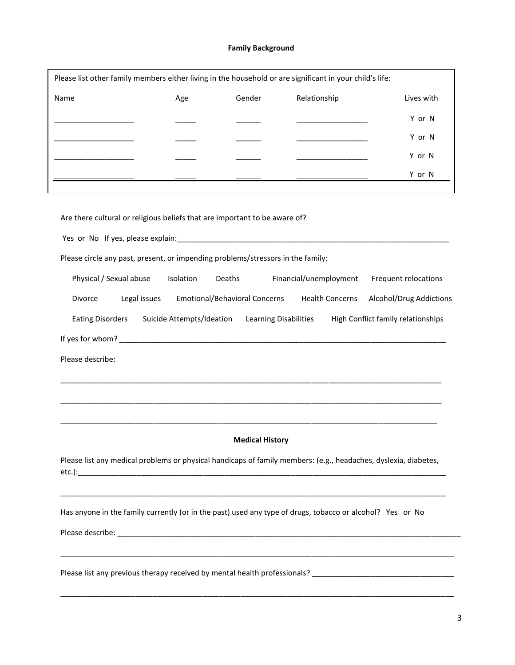# **Family Background**

| Name                                                                                                                                                                                                                           | Age                       | Gender                               | Relationship                                                                                                          | Lives with                         |
|--------------------------------------------------------------------------------------------------------------------------------------------------------------------------------------------------------------------------------|---------------------------|--------------------------------------|-----------------------------------------------------------------------------------------------------------------------|------------------------------------|
|                                                                                                                                                                                                                                |                           |                                      |                                                                                                                       | Y or N                             |
|                                                                                                                                                                                                                                |                           |                                      |                                                                                                                       | Y or N                             |
|                                                                                                                                                                                                                                |                           |                                      |                                                                                                                       | Y or N                             |
|                                                                                                                                                                                                                                |                           |                                      |                                                                                                                       | Y or N                             |
|                                                                                                                                                                                                                                |                           |                                      |                                                                                                                       |                                    |
| Are there cultural or religious beliefs that are important to be aware of?                                                                                                                                                     |                           |                                      |                                                                                                                       |                                    |
|                                                                                                                                                                                                                                |                           |                                      |                                                                                                                       |                                    |
| Yes or No If yes, please explain: No and the state of the state of the state of the state of the state of the state of the state of the state of the state of the state of the state of the state of the state of the state of |                           |                                      |                                                                                                                       |                                    |
| Please circle any past, present, or impending problems/stressors in the family:                                                                                                                                                |                           |                                      |                                                                                                                       |                                    |
| Physical / Sexual abuse                                                                                                                                                                                                        | Isolation                 | Deaths                               | Financial/unemployment                                                                                                | Frequent relocations               |
| Legal issues<br>Divorce                                                                                                                                                                                                        |                           | <b>Emotional/Behavioral Concerns</b> | <b>Health Concerns</b>                                                                                                | Alcohol/Drug Addictions            |
| <b>Eating Disorders</b>                                                                                                                                                                                                        | Suicide Attempts/Ideation |                                      | <b>Learning Disabilities</b>                                                                                          | High Conflict family relationships |
|                                                                                                                                                                                                                                |                           |                                      |                                                                                                                       |                                    |
| Please describe:                                                                                                                                                                                                               |                           |                                      |                                                                                                                       |                                    |
|                                                                                                                                                                                                                                |                           |                                      |                                                                                                                       |                                    |
|                                                                                                                                                                                                                                |                           |                                      |                                                                                                                       |                                    |
|                                                                                                                                                                                                                                |                           |                                      |                                                                                                                       |                                    |
|                                                                                                                                                                                                                                |                           |                                      |                                                                                                                       |                                    |
|                                                                                                                                                                                                                                |                           | <b>Medical History</b>               |                                                                                                                       |                                    |
| Please list any medical problems or physical handicaps of family members: (e.g., headaches, dyslexia, diabetes,                                                                                                                |                           |                                      |                                                                                                                       |                                    |
| Has anyone in the family currently (or in the past) used any type of drugs, tobacco or alcohol? Yes or No                                                                                                                      |                           |                                      | <u> 1989 - Johann Stoff, deutscher Stoff, der Stoff, der Stoff, der Stoff, der Stoff, der Stoff, der Stoff, der S</u> |                                    |
|                                                                                                                                                                                                                                |                           |                                      |                                                                                                                       |                                    |
|                                                                                                                                                                                                                                |                           |                                      |                                                                                                                       |                                    |

\_\_\_\_\_\_\_\_\_\_\_\_\_\_\_\_\_\_\_\_\_\_\_\_\_\_\_\_\_\_\_\_\_\_\_\_\_\_\_\_\_\_\_\_\_\_\_\_\_\_\_\_\_\_\_\_\_\_\_\_\_\_\_\_\_\_\_\_\_\_\_\_\_\_\_\_\_\_\_\_\_\_\_\_\_\_\_\_\_\_\_\_\_\_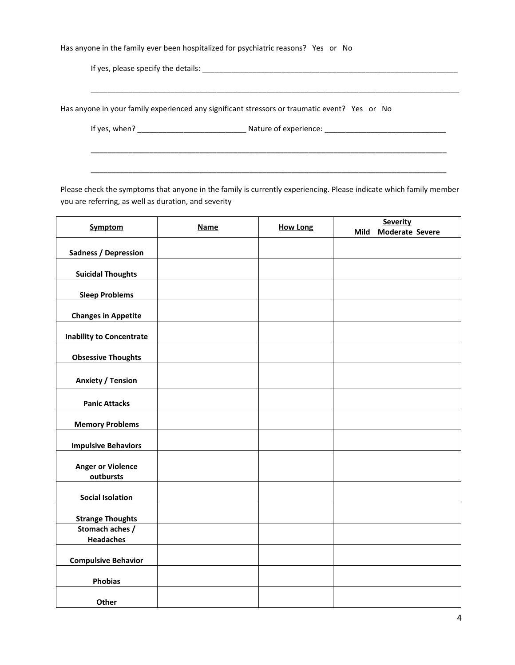Has anyone in the family ever been hospitalized for psychiatric reasons? Yes or No

If yes, please specify the details: \_\_\_\_\_\_\_\_\_\_\_\_\_\_\_\_\_\_\_\_\_\_\_\_\_\_\_\_\_\_\_\_\_\_\_\_\_\_\_\_\_\_\_\_\_\_\_\_\_\_\_\_\_\_\_\_\_\_\_\_\_

Has anyone in your family experienced any significant stressors or traumatic event? Yes or No

If yes, when? \_\_\_\_\_\_\_\_\_\_\_\_\_\_\_\_\_\_\_\_\_\_\_\_\_\_ Nature of experience: \_\_\_\_\_\_\_\_\_\_\_\_\_\_\_\_\_\_\_\_\_\_\_\_\_\_\_\_\_

\_\_\_\_\_\_\_\_\_\_\_\_\_\_\_\_\_\_\_\_\_\_\_\_\_\_\_\_\_\_\_\_\_\_\_\_\_\_\_\_\_\_\_\_\_\_\_\_\_\_\_\_\_\_\_\_\_\_\_\_\_\_\_\_\_\_\_\_\_\_\_\_\_\_\_\_\_\_\_\_\_\_\_\_\_\_\_\_

Please check the symptoms that anyone in the family is currently experiencing. Please indicate which family member you are referring, as well as duration, and severity

\_\_\_\_\_\_\_\_\_\_\_\_\_\_\_\_\_\_\_\_\_\_\_\_\_\_\_\_\_\_\_\_\_\_\_\_\_\_\_\_\_\_\_\_\_\_\_\_\_\_\_\_\_\_\_\_\_\_\_\_\_\_\_\_\_\_\_\_\_\_\_\_\_\_\_\_\_\_\_\_\_\_\_\_\_

\_\_\_\_\_\_\_\_\_\_\_\_\_\_\_\_\_\_\_\_\_\_\_\_\_\_\_\_\_\_\_\_\_\_\_\_\_\_\_\_\_\_\_\_\_\_\_\_\_\_\_\_\_\_\_\_\_\_\_\_\_\_\_\_\_\_\_\_\_\_\_\_\_\_\_\_\_\_\_\_\_\_\_\_\_

| <b>Symptom</b>                        | <b>Name</b> | <b>How Long</b> | <b>Severity</b>         |
|---------------------------------------|-------------|-----------------|-------------------------|
|                                       |             |                 | Moderate Severe<br>Mild |
| <b>Sadness / Depression</b>           |             |                 |                         |
| <b>Suicidal Thoughts</b>              |             |                 |                         |
| <b>Sleep Problems</b>                 |             |                 |                         |
| <b>Changes in Appetite</b>            |             |                 |                         |
| <b>Inability to Concentrate</b>       |             |                 |                         |
| <b>Obsessive Thoughts</b>             |             |                 |                         |
| <b>Anxiety / Tension</b>              |             |                 |                         |
| <b>Panic Attacks</b>                  |             |                 |                         |
| <b>Memory Problems</b>                |             |                 |                         |
| <b>Impulsive Behaviors</b>            |             |                 |                         |
| <b>Anger or Violence</b><br>outbursts |             |                 |                         |
| <b>Social Isolation</b>               |             |                 |                         |
| <b>Strange Thoughts</b>               |             |                 |                         |
| Stomach aches /<br><b>Headaches</b>   |             |                 |                         |
| <b>Compulsive Behavior</b>            |             |                 |                         |
| <b>Phobias</b>                        |             |                 |                         |
| Other                                 |             |                 |                         |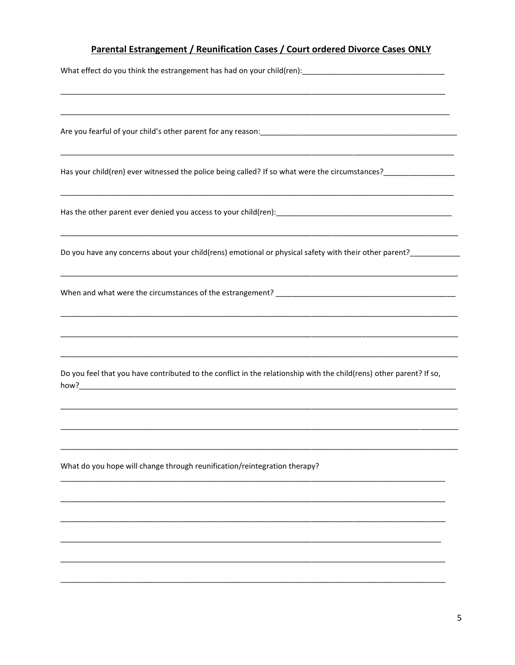# Parental Estrangement / Reunification Cases / Court ordered Divorce Cases ONLY

| Has your child(ren) ever witnessed the police being called? If so what were the circumstances?________________        |
|-----------------------------------------------------------------------------------------------------------------------|
|                                                                                                                       |
|                                                                                                                       |
| ,我们就会在这里的人,我们就会在这里的人,我们就会在这里,我们就会在这里,我们就会在这里,我们就会在这里,我们就会在这里,我们就会在这里,我们就会在这里,我们就                                      |
| <u> 1989 - Johann Harry Harry Harry Harry Harry Harry Harry Harry Harry Harry Harry Harry Harry Harry Harry Harry</u> |
| Do you feel that you have contributed to the conflict in the relationship with the child(rens) other parent? If so,   |
|                                                                                                                       |
| What do you hope will change through reunification/reintegration therapy?                                             |
|                                                                                                                       |
|                                                                                                                       |
|                                                                                                                       |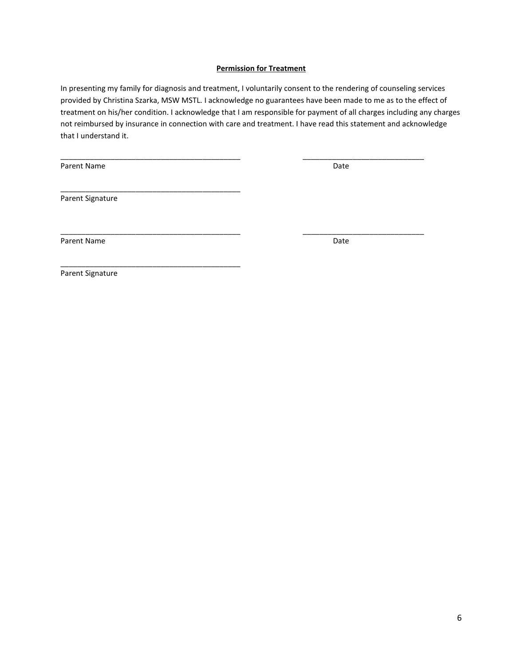# **Permission for Treatment**

In presenting my family for diagnosis and treatment, I voluntarily consent to the rendering of counseling services provided by Christina Szarka, MSW MSTL. I acknowledge no guarantees have been made to me as to the effect of treatment on his/her condition. I acknowledge that I am responsible for payment of all charges including any charges not reimbursed by insurance in connection with care and treatment. I have read this statement and acknowledge that I understand it.

\_\_\_\_\_\_\_\_\_\_\_\_\_\_\_\_\_\_\_\_\_\_\_\_\_\_\_\_\_\_\_\_\_\_\_\_\_\_\_\_\_\_\_ \_\_\_\_\_\_\_\_\_\_\_\_\_\_\_\_\_\_\_\_\_\_\_\_\_\_\_\_\_

\_\_\_\_\_\_\_\_\_\_\_\_\_\_\_\_\_\_\_\_\_\_\_\_\_\_\_\_\_\_\_\_\_\_\_\_\_\_\_\_\_\_\_ \_\_\_\_\_\_\_\_\_\_\_\_\_\_\_\_\_\_\_\_\_\_\_\_\_\_\_\_\_

Parent Name Date

Parent Signature

\_\_\_\_\_\_\_\_\_\_\_\_\_\_\_\_\_\_\_\_\_\_\_\_\_\_\_\_\_\_\_\_\_\_\_\_\_\_\_\_\_\_\_

\_\_\_\_\_\_\_\_\_\_\_\_\_\_\_\_\_\_\_\_\_\_\_\_\_\_\_\_\_\_\_\_\_\_\_\_\_\_\_\_\_\_\_

Parent Name Date

Parent Signature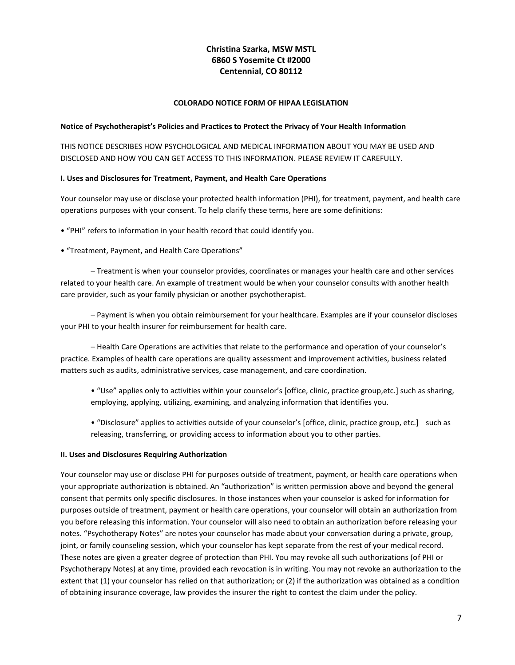# **Christina Szarka, MSW MSTL 6860 S Yosemite Ct #2000 Centennial, CO 80112**

# **COLORADO NOTICE FORM OF HIPAA LEGISLATION**

#### **Notice of Psychotherapist's Policies and Practices to Protect the Privacy of Your Health Information**

THIS NOTICE DESCRIBES HOW PSYCHOLOGICAL AND MEDICAL INFORMATION ABOUT YOU MAY BE USED AND DISCLOSED AND HOW YOU CAN GET ACCESS TO THIS INFORMATION. PLEASE REVIEW IT CAREFULLY.

#### **I. Uses and Disclosures for Treatment, Payment, and Health Care Operations**

Your counselor may use or disclose your protected health information (PHI), for treatment, payment, and health care operations purposes with your consent. To help clarify these terms, here are some definitions:

- "PHI" refers to information in your health record that could identify you.
- "Treatment, Payment, and Health Care Operations"

– Treatment is when your counselor provides, coordinates or manages your health care and other services related to your health care. An example of treatment would be when your counselor consults with another health care provider, such as your family physician or another psychotherapist.

– Payment is when you obtain reimbursement for your healthcare. Examples are if your counselor discloses your PHI to your health insurer for reimbursement for health care.

– Health Care Operations are activities that relate to the performance and operation of your counselor's practice. Examples of health care operations are quality assessment and improvement activities, business related matters such as audits, administrative services, case management, and care coordination.

- "Use" applies only to activities within your counselor's [office, clinic, practice group,etc.] such as sharing, employing, applying, utilizing, examining, and analyzing information that identifies you.
- "Disclosure" applies to activities outside of your counselor's [office, clinic, practice group, etc.] such as releasing, transferring, or providing access to information about you to other parties.

# **II. Uses and Disclosures Requiring Authorization**

Your counselor may use or disclose PHI for purposes outside of treatment, payment, or health care operations when your appropriate authorization is obtained. An "authorization" is written permission above and beyond the general consent that permits only specific disclosures. In those instances when your counselor is asked for information for purposes outside of treatment, payment or health care operations, your counselor will obtain an authorization from you before releasing this information. Your counselor will also need to obtain an authorization before releasing your notes. "Psychotherapy Notes" are notes your counselor has made about your conversation during a private, group, joint, or family counseling session, which your counselor has kept separate from the rest of your medical record. These notes are given a greater degree of protection than PHI. You may revoke all such authorizations (of PHI or Psychotherapy Notes) at any time, provided each revocation is in writing. You may not revoke an authorization to the extent that (1) your counselor has relied on that authorization; or (2) if the authorization was obtained as a condition of obtaining insurance coverage, law provides the insurer the right to contest the claim under the policy.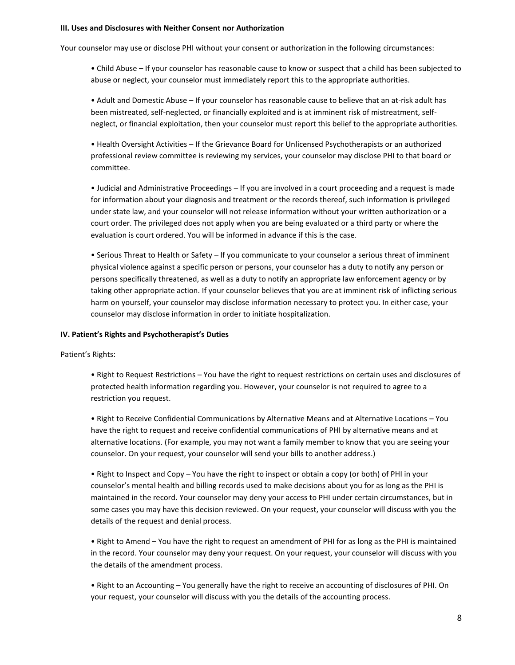#### **III. Uses and Disclosures with Neither Consent nor Authorization**

Your counselor may use or disclose PHI without your consent or authorization in the following circumstances:

• Child Abuse – If your counselor has reasonable cause to know or suspect that a child has been subjected to abuse or neglect, your counselor must immediately report this to the appropriate authorities.

• Adult and Domestic Abuse – If your counselor has reasonable cause to believe that an at-risk adult has been mistreated, self-neglected, or financially exploited and is at imminent risk of mistreatment, selfneglect, or financial exploitation, then your counselor must report this belief to the appropriate authorities.

• Health Oversight Activities – If the Grievance Board for Unlicensed Psychotherapists or an authorized professional review committee is reviewing my services, your counselor may disclose PHI to that board or committee.

• Judicial and Administrative Proceedings – If you are involved in a court proceeding and a request is made for information about your diagnosis and treatment or the records thereof, such information is privileged under state law, and your counselor will not release information without your written authorization or a court order. The privileged does not apply when you are being evaluated or a third party or where the evaluation is court ordered. You will be informed in advance if this is the case.

• Serious Threat to Health or Safety – If you communicate to your counselor a serious threat of imminent physical violence against a specific person or persons, your counselor has a duty to notify any person or persons specifically threatened, as well as a duty to notify an appropriate law enforcement agency or by taking other appropriate action. If your counselor believes that you are at imminent risk of inflicting serious harm on yourself, your counselor may disclose information necessary to protect you. In either case, your counselor may disclose information in order to initiate hospitalization.

#### **IV. Patient's Rights and Psychotherapist's Duties**

Patient's Rights:

• Right to Request Restrictions – You have the right to request restrictions on certain uses and disclosures of protected health information regarding you. However, your counselor is not required to agree to a restriction you request.

• Right to Receive Confidential Communications by Alternative Means and at Alternative Locations – You have the right to request and receive confidential communications of PHI by alternative means and at alternative locations. (For example, you may not want a family member to know that you are seeing your counselor. On your request, your counselor will send your bills to another address.)

• Right to Inspect and Copy – You have the right to inspect or obtain a copy (or both) of PHI in your counselor's mental health and billing records used to make decisions about you for as long as the PHI is maintained in the record. Your counselor may deny your access to PHI under certain circumstances, but in some cases you may have this decision reviewed. On your request, your counselor will discuss with you the details of the request and denial process.

• Right to Amend – You have the right to request an amendment of PHI for as long as the PHI is maintained in the record. Your counselor may deny your request. On your request, your counselor will discuss with you the details of the amendment process.

• Right to an Accounting – You generally have the right to receive an accounting of disclosures of PHI. On your request, your counselor will discuss with you the details of the accounting process.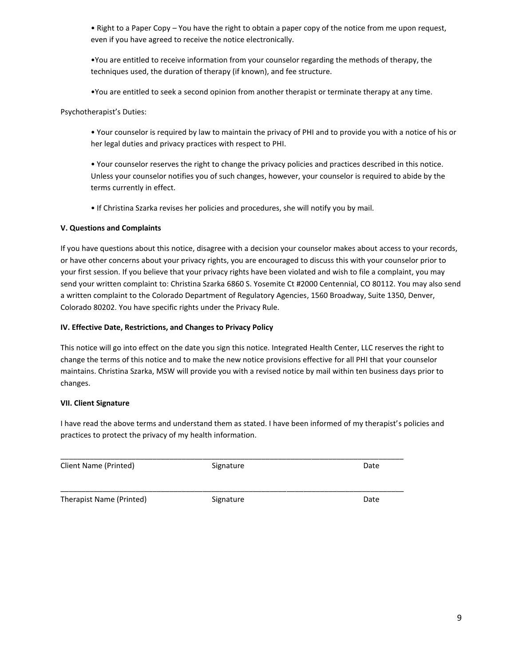• Right to a Paper Copy – You have the right to obtain a paper copy of the notice from me upon request, even if you have agreed to receive the notice electronically.

•You are entitled to receive information from your counselor regarding the methods of therapy, the techniques used, the duration of therapy (if known), and fee structure.

•You are entitled to seek a second opinion from another therapist or terminate therapy at any time.

Psychotherapist's Duties:

• Your counselor is required by law to maintain the privacy of PHI and to provide you with a notice of his or her legal duties and privacy practices with respect to PHI.

• Your counselor reserves the right to change the privacy policies and practices described in this notice. Unless your counselor notifies you of such changes, however, your counselor is required to abide by the terms currently in effect.

• If Christina Szarka revises her policies and procedures, she will notify you by mail.

# **V. Questions and Complaints**

If you have questions about this notice, disagree with a decision your counselor makes about access to your records, or have other concerns about your privacy rights, you are encouraged to discuss this with your counselor prior to your first session. If you believe that your privacy rights have been violated and wish to file a complaint, you may send your written complaint to: Christina Szarka 6860 S. Yosemite Ct #2000 Centennial, CO 80112. You may also send a written complaint to the Colorado Department of Regulatory Agencies, 1560 Broadway, Suite 1350, Denver, Colorado 80202. You have specific rights under the Privacy Rule.

# **IV. Effective Date, Restrictions, and Changes to Privacy Policy**

This notice will go into effect on the date you sign this notice. Integrated Health Center, LLC reserves the right to change the terms of this notice and to make the new notice provisions effective for all PHI that your counselor maintains. Christina Szarka, MSW will provide you with a revised notice by mail within ten business days prior to changes.

# **VII. Client Signature**

I have read the above terms and understand them as stated. I have been informed of my therapist's policies and practices to protect the privacy of my health information.

| Client Name (Printed)    | Signature | Date |
|--------------------------|-----------|------|
| Therapist Name (Printed) | Signature | Date |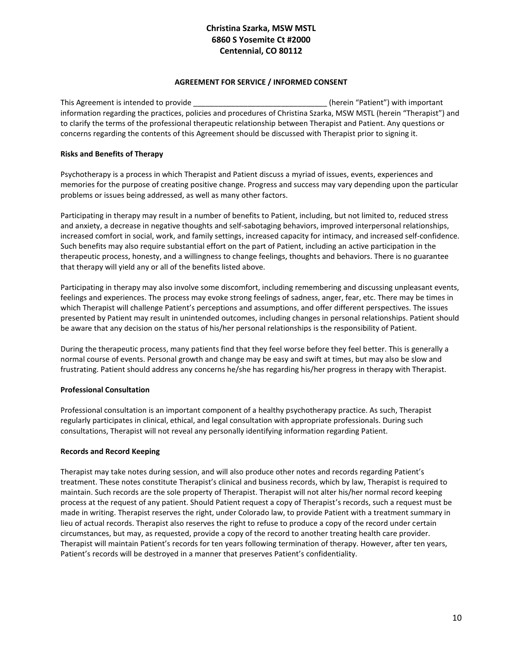# **Christina Szarka, MSW MSTL 6860 S Yosemite Ct #2000 Centennial, CO 80112**

# **AGREEMENT FOR SERVICE / INFORMED CONSENT**

This Agreement is intended to provide the state of the state of the state (herein "Patient") with important information regarding the practices, policies and procedures of Christina Szarka, MSW MSTL (herein "Therapist") and to clarify the terms of the professional therapeutic relationship between Therapist and Patient. Any questions or concerns regarding the contents of this Agreement should be discussed with Therapist prior to signing it.

# **Risks and Benefits of Therapy**

Psychotherapy is a process in which Therapist and Patient discuss a myriad of issues, events, experiences and memories for the purpose of creating positive change. Progress and success may vary depending upon the particular problems or issues being addressed, as well as many other factors.

Participating in therapy may result in a number of benefits to Patient, including, but not limited to, reduced stress and anxiety, a decrease in negative thoughts and self-sabotaging behaviors, improved interpersonal relationships, increased comfort in social, work, and family settings, increased capacity for intimacy, and increased self-confidence. Such benefits may also require substantial effort on the part of Patient, including an active participation in the therapeutic process, honesty, and a willingness to change feelings, thoughts and behaviors. There is no guarantee that therapy will yield any or all of the benefits listed above.

Participating in therapy may also involve some discomfort, including remembering and discussing unpleasant events, feelings and experiences. The process may evoke strong feelings of sadness, anger, fear, etc. There may be times in which Therapist will challenge Patient's perceptions and assumptions, and offer different perspectives. The issues presented by Patient may result in unintended outcomes, including changes in personal relationships. Patient should be aware that any decision on the status of his/her personal relationships is the responsibility of Patient.

During the therapeutic process, many patients find that they feel worse before they feel better. This is generally a normal course of events. Personal growth and change may be easy and swift at times, but may also be slow and frustrating. Patient should address any concerns he/she has regarding his/her progress in therapy with Therapist.

# **Professional Consultation**

Professional consultation is an important component of a healthy psychotherapy practice. As such, Therapist regularly participates in clinical, ethical, and legal consultation with appropriate professionals. During such consultations, Therapist will not reveal any personally identifying information regarding Patient.

# **Records and Record Keeping**

Therapist may take notes during session, and will also produce other notes and records regarding Patient's treatment. These notes constitute Therapist's clinical and business records, which by law, Therapist is required to maintain. Such records are the sole property of Therapist. Therapist will not alter his/her normal record keeping process at the request of any patient. Should Patient request a copy of Therapist's records, such a request must be made in writing. Therapist reserves the right, under Colorado law, to provide Patient with a treatment summary in lieu of actual records. Therapist also reserves the right to refuse to produce a copy of the record under certain circumstances, but may, as requested, provide a copy of the record to another treating health care provider. Therapist will maintain Patient's records for ten years following termination of therapy. However, after ten years, Patient's records will be destroyed in a manner that preserves Patient's confidentiality.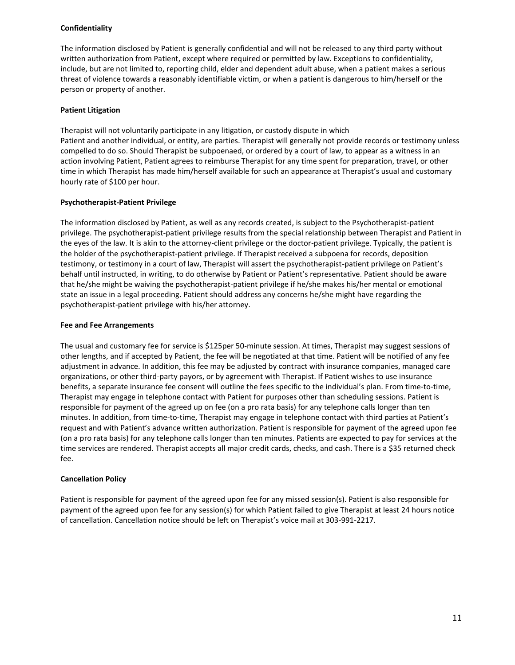### **Confidentiality**

The information disclosed by Patient is generally confidential and will not be released to any third party without written authorization from Patient, except where required or permitted by law. Exceptions to confidentiality, include, but are not limited to, reporting child, elder and dependent adult abuse, when a patient makes a serious threat of violence towards a reasonably identifiable victim, or when a patient is dangerous to him/herself or the person or property of another.

#### **Patient Litigation**

Therapist will not voluntarily participate in any litigation, or custody dispute in which Patient and another individual, or entity, are parties. Therapist will generally not provide records or testimony unless compelled to do so. Should Therapist be subpoenaed, or ordered by a court of law, to appear as a witness in an action involving Patient, Patient agrees to reimburse Therapist for any time spent for preparation, travel, or other time in which Therapist has made him/herself available for such an appearance at Therapist's usual and customary hourly rate of \$100 per hour.

#### **Psychotherapist-Patient Privilege**

The information disclosed by Patient, as well as any records created, is subject to the Psychotherapist-patient privilege. The psychotherapist-patient privilege results from the special relationship between Therapist and Patient in the eyes of the law. It is akin to the attorney-client privilege or the doctor-patient privilege. Typically, the patient is the holder of the psychotherapist-patient privilege. If Therapist received a subpoena for records, deposition testimony, or testimony in a court of law, Therapist will assert the psychotherapist-patient privilege on Patient's behalf until instructed, in writing, to do otherwise by Patient or Patient's representative. Patient should be aware that he/she might be waiving the psychotherapist-patient privilege if he/she makes his/her mental or emotional state an issue in a legal proceeding. Patient should address any concerns he/she might have regarding the psychotherapist-patient privilege with his/her attorney.

#### **Fee and Fee Arrangements**

The usual and customary fee for service is \$125per 50-minute session. At times, Therapist may suggest sessions of other lengths, and if accepted by Patient, the fee will be negotiated at that time. Patient will be notified of any fee adjustment in advance. In addition, this fee may be adjusted by contract with insurance companies, managed care organizations, or other third-party payors, or by agreement with Therapist. If Patient wishes to use insurance benefits, a separate insurance fee consent will outline the fees specific to the individual's plan. From time-to-time, Therapist may engage in telephone contact with Patient for purposes other than scheduling sessions. Patient is responsible for payment of the agreed up on fee (on a pro rata basis) for any telephone calls longer than ten minutes. In addition, from time-to-time, Therapist may engage in telephone contact with third parties at Patient's request and with Patient's advance written authorization. Patient is responsible for payment of the agreed upon fee (on a pro rata basis) for any telephone calls longer than ten minutes. Patients are expected to pay for services at the time services are rendered. Therapist accepts all major credit cards, checks, and cash. There is a \$35 returned check fee.

# **Cancellation Policy**

Patient is responsible for payment of the agreed upon fee for any missed session(s). Patient is also responsible for payment of the agreed upon fee for any session(s) for which Patient failed to give Therapist at least 24 hours notice of cancellation. Cancellation notice should be left on Therapist's voice mail at 303-991-2217.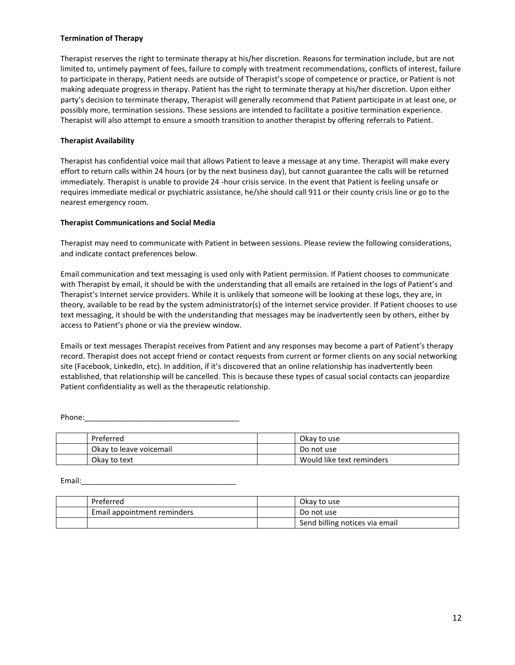### **Termination of Therapy**

Therapist reserves the right to terminate therapy at his/her discretion. Reasons for termination include, but are not limited to, untimely payment of fees, failure to comply with treatment recommendations, conflicts of interest, failure to participate in therapy, Patient needs are outside of Therapist's scope of competence or practice, or Patient is not making adequate progress in therapy. Patient has the right to terminate therapy at his/her discretion. Upon either party's decision to terminate therapy, Therapist will generally recommend that Patient participate in at least one, or possibly more, termination sessions. These sessions are intended to facilitate a positive termination experience. Therapist will also attempt to ensure a smooth transition to another therapist by offering referrals to Patient.

## **Therapist Availability**

Therapist has confidential voice mail that allows Patient to leave a message at any time. Therapist will make every effort to return calls within 24 hours (or by the next business day), but cannot guarantee the calls will be returned immediately. Therapist is unable to provide 24 -hour crisis service. In the event that Patient is feeling unsafe or requires immediate medical or psychiatric assistance, he/she should call 911 or their county crisis line or go to the nearest emergency room.

#### **Therapist Communications and Social Media**

Therapist may need to communicate with Patient in between sessions. Please review the following considerations, and indicate contact preferences below.

Email communication and text messaging is used only with Patient permission. If Patient chooses to communicate with Therapist by email, it should be with the understanding that all emails are retained in the logs of Patient's and Therapist's Internet service providers. While it is unlikely that someone will be looking at these logs, they are, in theory, available to be read by the system administrator(s) of the Internet service provider. If Patient chooses to use text messaging, it should be with the understanding that messages may be inadvertently seen by others, either by access to Patient's phone or via the preview window.

Emails or text messages Therapist receives from Patient and any responses may become a part of Patient's therapy record. Therapist does not accept friend or contact requests from current or former clients on any social networking site (Facebook, LinkedIn, etc). In addition, if it's discovered that an online relationship has inadvertently been established, that relationship will be cancelled. This is because these types of casual social contacts can jeopardize Patient confidentiality as well as the therapeutic relationship.

Phone:

| Preferred               | Okay to use               |
|-------------------------|---------------------------|
| Okay to leave voicemail | Do not use                |
| Okay to text            | Would like text reminders |

Email:\_\_\_\_\_\_\_\_\_\_\_\_\_\_\_\_\_\_\_\_\_\_\_\_\_\_\_\_\_\_\_\_\_\_\_\_\_

| Preferred                   | Okay to use                    |
|-----------------------------|--------------------------------|
| Email appointment reminders | Do not use                     |
|                             | Send billing notices via email |